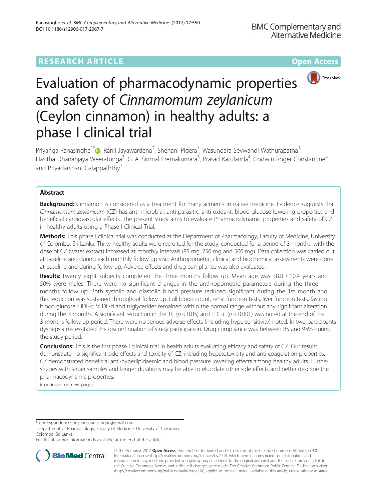# **RESEARCH ARTICLE EXECUTE: CONSIDERING A RESEARCH ARTICLE**



# Evaluation of pharmacodynamic properties and safety of Cinnamomum zeylanicum (Ceylon cinnamon) in healthy adults: a phase I clinical trial

Priyanga Ranasinghe<sup>1\*</sup>�[,](http://orcid.org/0000-0002-1522-9276) Ranil Jayawardena<sup>2</sup>, Shehani Pigera<sup>1</sup>, Wasundara Sevwandi Wathurapatha<sup>1</sup> , Hasitha Dhananjaya Weeratunga<sup>3</sup>, G. A. Sirimal Premakumara<sup>3</sup>, Prasad Katulanda<sup>4</sup>, Godwin Roger Constantine<sup>4</sup> and Priyadarshani Galappaththy<sup>1</sup>

# Abstract

**Background:** Cinnamon is considered as a treatment for many ailments in native medicine. Evidence suggests that Cinnamomum zeylanicum (CZ) has anti-microbial, anti-parasitic, anti-oxidant, blood glucose lowering properties and beneficial cardiovascular effects. The present study aims to evaluate Pharmacodynamic properties and safety of CZ in healthy adults using a Phase I Clinical Trial.

Methods: This phase I clinical trial was conducted at the Department of Pharmacology, Faculty of Medicine, University of Colombo, Sri Lanka. Thirty healthy adults were recruited for the study, conducted for a period of 3 months, with the dose of CZ (water extract) increased at monthly intervals (85 mg, 250 mg and 500 mg). Data collection was carried out at baseline and during each monthly follow up visit. Anthropometric, clinical and biochemical assessments were done at baseline and during follow up. Adverse effects and drug compliance was also evaluated.

**Results:** Twenty eight subjects completed the three months follow up. Mean age was  $38.8 \pm 10.4$  years and 50% were males. There were no significant changes in the anthropometric parameters during the three months follow up. Both systolic and diastolic blood pressure reduced significant during the 1st month and this reduction was sustained throughout follow up. Full blood count, renal function tests, liver function tests, fasting blood glucose, HDL-c, VLDL-d and triglycerides remained within the normal range without any significant alteration during the 3 months. A significant reduction in the TC ( $p < 0.05$ ) and LDL-c ( $p < 0.001$ ) was noted at the end of the 3 months follow up period. There were no serious adverse effects (including hypersensitivity) noted. In two participants dyspepsia necessitated the discontinuation of study participation. Drug compliance was between 85 and 95% during the study period.

**Conclusions:** This is the first phase I clinical trial in health adults evaluating efficacy and safety of CZ. Our results demonstrate no significant side effects and toxicity of CZ, including hepatotoxicity and anti-coagulation properties. CZ demonstrated beneficial anti-hyperlipidaemic and blood pressure lowering effects among healthy adults. Further studies with larger samples and longer durations may be able to elucidate other side effects and better describe the pharmacodynamic properties.

(Continued on next page)

\* Correspondence: [priyanga.ranasinghe@gmail.com](mailto:priyanga.ranasinghe@gmail.com) <sup>1</sup>

<sup>1</sup>Department of Pharmacology, Faculty of Medicine, University of Colombo, Colombo, Sri Lanka

Full list of author information is available at the end of the article



© The Author(s). 2017 **Open Access** This article is distributed under the terms of the Creative Commons Attribution 4.0 International License [\(http://creativecommons.org/licenses/by/4.0/](http://creativecommons.org/licenses/by/4.0/)), which permits unrestricted use, distribution, and reproduction in any medium, provided you give appropriate credit to the original author(s) and the source, provide a link to the Creative Commons license, and indicate if changes were made. The Creative Commons Public Domain Dedication waiver [\(http://creativecommons.org/publicdomain/zero/1.0/](http://creativecommons.org/publicdomain/zero/1.0/)) applies to the data made available in this article, unless otherwise stated.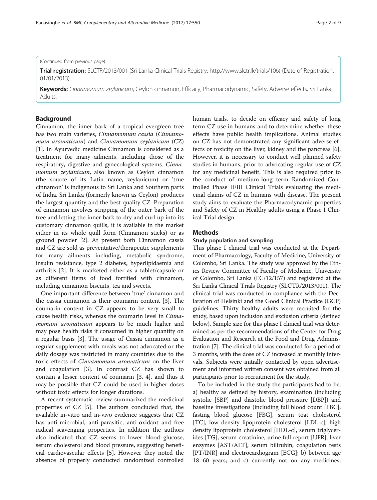#### (Continued from previous page)

Trial registration: SLCTR/2013/001 (Sri Lanka Clinical Trials Registry: [http://www.slctr.lk/trials/106\)](http://www.slctr.lk/trials/106) (Date of Registration: 01/01/2013).

Keywords: Cinnamomum zeylanicum, Ceylon cinnamon, Efficacy, Pharmacodynamic, Safety, Adverse effects, Sri Lanka, Adults,

# Background

Cinnamon, the inner bark of a tropical evergreen tree has two main varieties, Cinnamomum cassia (Cinnamomum aromaticum) and Cinnamomum zeylanicum (CZ) [[1\]](#page-8-0). In Ayurvedic medicine Cinnamon is considered as a treatment for many ailments, including those of the respiratory, digestive and gynecological systems. Cinnamomum zeylanicum, also known as Ceylon cinnamon (the source of its Latin name, zeylanicum) or 'true cinnamon' is indigenous to Sri Lanka and Southern parts of India. Sri Lanka (formerly known as Ceylon) produces the largest quantity and the best quality CZ. Preparation of cinnamon involves stripping of the outer bark of the tree and letting the inner bark to dry and curl up into its customary cinnamon quills, it is available in the market either in its whole quill form (Cinnamon sticks) or as ground powder [[2\]](#page-8-0). At present both Cinnamon cassia and CZ are sold as preventative/therapeutic supplements for many ailments including, metabolic syndrome, insulin resistance, type 2 diabetes, hyperlipidaemia and arthritis [\[2](#page-8-0)]. It is marketed either as a tablet/capsule or as different items of food fortified with cinnamon, including cinnamon biscuits, tea and sweets.

One important difference between 'true' cinnamon and the cassia cinnamon is their coumarin content [\[3](#page-8-0)]. The coumarin content in CZ appears to be very small to cause health risks, whereas the coumarin level in Cinnamomum aromaticum appears to be much higher and may pose health risks if consumed in higher quantity on a regular basis [\[3](#page-8-0)]. The usage of Cassia cinnamon as a regular supplement with meals was not advocated or the daily dosage was restricted in many countries due to the toxic effects of Cinnamomum aromaticum on the liver and coagulation [[3\]](#page-8-0). In contrast CZ has shown to contain a lesser content of coumarin [\[3, 4\]](#page-8-0), and thus it may be possible that CZ could be used in higher doses without toxic effects for longer durations.

A recent systematic review summarized the medicinal properties of CZ [\[5](#page-8-0)]. The authors concluded that, the available in-vitro and in-vivo evidence suggests that CZ has anti-microbial, anti-parasitic, anti-oxidant and free radical scavenging properties. In addition the authors also indicated that CZ seems to lower blood glucose, serum cholesterol and blood pressure, suggesting beneficial cardiovascular effects [[5\]](#page-8-0). However they noted the absence of properly conducted randomized controlled human trials, to decide on efficacy and safety of long term CZ use in humans and to determine whether these effects have public health implications. Animal studies on CZ has not demonstrated any significant adverse effects or toxicity on the liver, kidney and the pancreas [\[6](#page-8-0)]. However, it is necessary to conduct well planned safety studies in humans, prior to advocating regular use of CZ for any medicinal benefit. This is also required prior to the conduct of medium-long term Randomized Controlled Phase II/III Clinical Trials evaluating the medicinal claims of CZ in humans with disease. The present study aims to evaluate the Pharmacodynamic properties and Safety of CZ in Healthy adults using a Phase I Clinical Trial design.

# **Methods**

# Study population and sampling

This phase I clinical trial was conducted at the Department of Pharmacology, Faculty of Medicine, University of Colombo, Sri Lanka. The study was approved by the Ethics Review Committee of Faculty of Medicine, University of Colombo, Sri Lanka (EC/12/157) and registered at the Sri Lanka Clinical Trials Registry (SLCTR/2013/001). The clinical trial was conducted in compliance with the Declaration of Helsinki and the Good Clinical Practice (GCP) guidelines. Thirty healthy adults were recruited for the study, based upon inclusion and exclusion criteria (defined below). Sample size for this phase I clinical trial was determined as per the recommendations of the Center for Drug Evaluation and Research at the Food and Drug Administration [\[7](#page-8-0)]. The clinical trial was conducted for a period of 3 months, with the dose of CZ increased at monthly intervals. Subjects were initially contacted by open advertisement and informed written consent was obtained from all participants prior to recruitment for the study.

To be included in the study the participants had to be; a) healthy as defined by history, examination (including systolic [SBP] and diastolic blood pressure [DBP]) and baseline investigations (including full blood count [FBC], fasting blood glucose [FBG], serum toat cholesterol [TC], low density lipoprotein cholesterol [LDL-c], high density lipoprotein cholesterol [HDL-c], serum triglycerides [TG], serum creatinine, urine full report [UFR], liver enzymes [AST/ALT], serum bilirubin, coagulation tests [PT/INR] and electrocardiogram [ECG]; b) between age 18–60 years; and c) currently not on any medicines,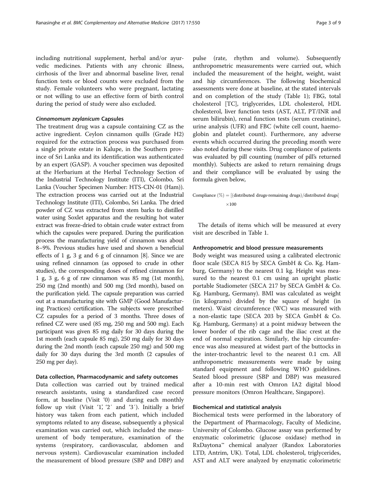including nutritional supplement, herbal and/or ayurvedic medicines. Patients with any chronic illness, cirrhosis of the liver and abnormal baseline liver, renal function tests or blood counts were excluded from the study. Female volunteers who were pregnant, lactating or not willing to use an effective form of birth control during the period of study were also excluded.

#### Cinnamomum zeylanicum Capsules

The treatment drug was a capsule containing CZ as the active ingredient. Ceylon cinnamon quills (Grade H2) required for the extraction process was purchased from a single private estate in Kalupe, in the Southern province of Sri Lanka and its identification was authenticated by an expert (GASP). A voucher specimen was deposited at the Herbarium at the Herbal Technology Section of the Industrial Technology Institute (ITI), Colombo, Sri Lanka (Voucher Specimen Number: HTS-CIN-01 (Ham)). The extraction process was carried out at the Industrial Technology Institute (ITI), Colombo, Sri Lanka. The dried powder of CZ was extracted from stem barks to distilled water using Soxlet apparatus and the resulting hot water extract was freeze-dried to obtain crude water extract from which the capsules were prepared. During the purification process the manufacturing yield of cinnamon was about 8–9%. Previous studies have used and shown a beneficial effects of 1 g, 3 g and 6 g of cinnamon [\[8](#page-8-0)]. Since we are using refined cinnamon (as opposed to crude in other studies), the corresponding doses of refined cinnamon for 1 g, 3 g, 6 g of raw cinnamon was 85 mg (1st month), 250 mg (2nd month) and 500 mg (3rd month), based on the purification yield. The capsule preparation was carried out at a manufacturing site with GMP (Good Manufacturing Practices) certification. The subjects were prescribed CZ capsules for a period of 3 months. Three doses of refined CZ were used (85 mg, 250 mg and 500 mg). Each participant was given 85 mg daily for 30 days during the 1st month (each capsule 85 mg), 250 mg daily for 30 days during the 2nd month (each capsule 250 mg) and 500 mg daily for 30 days during the 3rd month (2 capsules of 250 mg per day).

#### Data collection, Pharmacodynamic and safety outcomes

Data collection was carried out by trained medical research assistants, using a standardized case record form, at baseline (Visit '0) and during each monthly follow up visit (Visit '1', '2' and '3'). Initially a brief history was taken from each patient, which included symptoms related to any disease, subsequently a physical examination was carried out, which included the measurement of body temperature, examination of the systems (respiratory, cardiovascular, abdomen and nervous system). Cardiovascular examination included the measurement of blood pressure (SBP and DBP) and pulse (rate, rhythm and volume). Subsequently anthropometric measurements were carried out, which included the measurement of the height, weight, waist and hip circumferences. The following biochemical assessments were done at baseline, at the stated intervals and on completion of the study (Table [1](#page-3-0)); FBG, total cholesterol [TC], triglycerides, LDL cholesterol, HDL cholesterol, liver function tests (AST, ALT, PT/INR and serum bilirubin), renal function tests (serum creatinine), urine analysis (UFR) and FBC (white cell count, haemoglobin and platelet count). Furthermore, any adverse events which occurred during the preceding month were also noted during these visits. Drug compliance of patients was evaluated by pill counting (number of pill's returned monthly). Subjects are asked to return remaining drugs and their compliance will be evaluated by using the formula given below,

# Compliance  $(\%) = [$ (distributed drugs-remaining drugs)/distributed drugs]  $\times$ 100

The details of items which will be measured at every visit are described in Table [1](#page-3-0).

# Anthropometric and blood pressure measurements

Body weight was measured using a calibrated electronic floor scale (SECA 815 by SECA GmbH & Co. Kg. Hamburg, Germany) to the nearest 0.1 kg. Height was measured to the nearest 0.1 cm using an upright plastic portable Stadiometer (SECA 217 by SECA GmbH & Co. Kg. Hamburg, Germany). BMI was calculated as weight (in kilograms) divided by the square of height (in meters). Waist circumference (WC) was measured with a non-elastic tape (SECA 203 by SECA GmbH & Co. Kg. Hamburg, Germany) at a point midway between the lower border of the rib cage and the iliac crest at the end of normal expiration. Similarly, the hip circumference was also measured at widest part of the buttocks in the inter-trochantric level to the nearest 0.1 cm. All anthropometric measurements were made by using standard equipment and following WHO guidelines. Seated blood pressure (SBP and DBP) was measured after a 10-min rest with Omron IA2 digital blood pressure monitors (Omron Healthcare, Singapore).

# Biochemical and statistical analysis

Biochemical tests were performed in the laboratory of the Department of Pharmacology, Faculty of Medicine, University of Colombo. Glucose assay was performed by enzymatic colorimetric (glucose oxidase) method in RxDaytona™ chemical analyzer (Randox Laboratories LTD, Antrim, UK). Total, LDL cholesterol, triglycerides, AST and ALT were analyzed by enzymatic colorimetric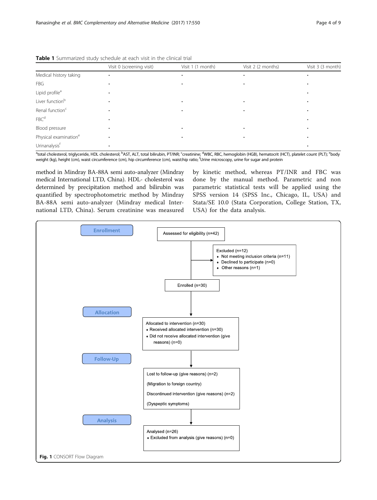|                                   | Visit 0 (screening visit) | Visit 1 (1 month) | Visit 2 (2 months) | Visit 3 (3 month) |  |
|-----------------------------------|---------------------------|-------------------|--------------------|-------------------|--|
| Medical history taking            |                           |                   |                    |                   |  |
| <b>FBG</b>                        |                           |                   |                    |                   |  |
| Lipid profile <sup>a</sup>        |                           |                   |                    |                   |  |
| Liver function <sup>b</sup>       |                           |                   |                    |                   |  |
| Renal function <sup>c</sup>       |                           |                   |                    |                   |  |
| FBC <sup>d</sup>                  |                           |                   |                    |                   |  |
| Blood pressure                    |                           |                   |                    |                   |  |
| Physical examination <sup>e</sup> |                           |                   |                    |                   |  |
| Urinanalysisf                     |                           |                   |                    |                   |  |

<span id="page-3-0"></span>Table 1 Summarized study schedule at each visit in the clinical trial

<sup>a</sup>total cholesterol, triglyceride, HDL cholesterol; <sup>b</sup>AST, ALT, total bilirubin, PT/INR; <sup>c</sup>creatinine; <sup>d</sup>WBC, RBC, hemoglobin (HGB), hematocrit (HCT), platelet count (PLT); <sup>e</sup>body weight (kg), height (cm), waist circumference (cm), hip circumference (cm), waist:hip ratio; <sup>f</sup> Urine microscopy, urine for sugar and protein

method in Mindray BA-88A semi auto-analyzer (Mindray medical International LTD, China). HDL- cholesterol was determined by precipitation method and bilirubin was quantified by spectrophotometric method by Mindray BA-88A semi auto-analyzer (Mindray medical International LTD, China). Serum creatinine was measured

by kinetic method, whereas PT/INR and FBC was done by the manual method. Parametric and non parametric statistical tests will be applied using the SPSS version 14 (SPSS Inc., Chicago, IL, USA) and Stata/SE 10.0 (Stata Corporation, College Station, TX, USA) for the data analysis.

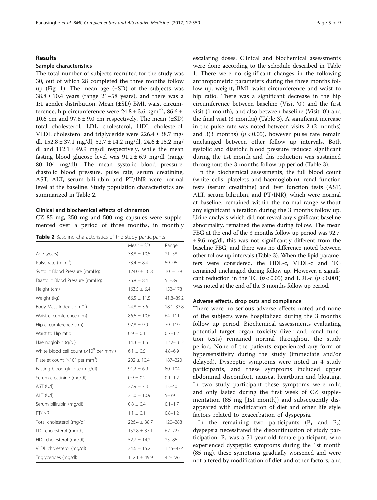# Results

# Sample characteristics

The total number of subjects recruited for the study was 30, out of which 28 completed the three months follow up (Fig. [1\)](#page-3-0). The mean age  $(\pm SD)$  of the subjects was  $38.8 \pm 10.4$  years (range 21–58 years), and there was a 1:1 gender distribution. Mean (±SD) BMI, waist circumference, hip circumference were  $24.8 \pm 3.6$  kgm<sup>-2</sup>, 86.6 ± 10.6 cm and  $97.8 \pm 9.0$  cm respectively. The mean ( $\pm$ SD) total cholesterol, LDL cholesterol, HDL cholesterol, VLDL cholesterol and triglyceride were 226.4 ± 38.7 mg/ dl,  $152.8 \pm 37.1$  mg/dl,  $52.7 \pm 14.2$  mg/dl,  $24.6 \pm 15.2$  mg/ dl and  $112.1 \pm 49.9$  mg/dl respectively, while the mean fasting blood glucose level was  $91.2 \pm 6.9$  mg/dl (range 80–104 mg/dl). The mean systolic blood pressure, diastolic blood pressure, pulse rate, serum creatinine, AST, ALT, serum bilirubin and PT/INR were normal level at the baseline. Study population characteristics are summarized in Table 2.

# Clinical and biochemical effects of cinnamon

CZ 85 mg, 250 mg and 500 mg capsules were supplemented over a period of three months, in monthly

Table 2 Baseline characteristics of the study participants

|                                                        | Mean $\pm$ SD    | Range         |
|--------------------------------------------------------|------------------|---------------|
| Age (years)                                            | $38.8 \pm 10.5$  | $21 - 58$     |
| Pulse rate $(min^{-1})$                                | $73.4 \pm 8.4$   | 59-96         |
| Systolic Blood Pressure (mmHg)                         | $124.0 \pm 10.8$ | $101 - 139$   |
| Diastolic Blood Pressure (mmHg)                        | $76.8 \pm 8.4$   | $55 - 89$     |
| Height (cm)                                            | $163.5 \pm 6.4$  | 152-178       |
| Weight (kg)                                            | $66.5 \pm 11.5$  | 41.8-89.2     |
| Body Mass Index ( $\text{kgm}^{-2}$ )                  | $24.8 \pm 3.6$   | $18.1 - 33.8$ |
| Waist circumference (cm)                               | $86.6 \pm 10.6$  | $64 - 111$    |
| Hip circumference (cm)                                 | $97.8 \pm 9.0$   | 79-119        |
| Waist to Hip ratio                                     | $0.9 \pm 0.1$    | $0.7 - 1.2$   |
| Haemoglobin (g/dl)                                     | $14.3 \pm 1.6$   | $12.2 - 16.2$ |
| White blood cell count $(x10^9$ per mm <sup>3</sup> )  | $6.1 \pm 0.5$    | $4.8 - 6.9$   |
| Platelet count (x10 <sup>9</sup> per mm <sup>3</sup> ) | $202 \pm 10.4$   | 187-220       |
| Fasting blood glucose (mg/dl)                          | $91.2 \pm 6.9$   | $80 - 104$    |
| Serum creatinine (mg/dl)                               | $0.9 \pm 0.2$    | $0.1 - 1.2$   |
| AST (U/I)                                              | $27.9 \pm 7.3$   | $13 - 40$     |
| ALT (U/l)                                              | $21.0 \pm 10.9$  | $5 - 39$      |
| Serum bilirubin (mg/dl)                                | $0.8 \pm 0.4$    | $0.1 - 1.7$   |
| PT/INR                                                 | $1.1 \pm 0.1$    | $0.8 - 1.2$   |
| Total cholesterol (mg/dl)                              | $226.4 \pm 38.7$ | 120-288       |
| LDL cholesterol (mg/dl)                                | $152.8 \pm 37.1$ | $67 - 227$    |
| HDL cholesterol (mg/dl)                                | $52.7 \pm 14.2$  | $25 - 86$     |
| VLDL cholesterol (mg/dl)                               | $24.6 \pm 15.2$  | 12.5-83.4     |
| Triglycerides (mg/dl)                                  | $112.1 \pm 49.9$ | $42 - 226$    |

escalating doses. Clinical and biochemical assessments were done according to the schedule described in Table [1.](#page-3-0) There were no significant changes in the following anthropometric parameters during the three months follow up; weight, BMI, waist circumference and waist to hip ratio. There was a significant decrease in the hip circumference between baseline (Visit '0') and the first visit (1 month), and also between baseline (Visit '0') and the final visit (3 months) (Table [3](#page-5-0)). A significant increase in the pulse rate was noted between visits 2 (2 months) and 3(3 months) ( $p < 0.05$ ), however pulse rate remain unchanged between other follow up intervals. Both systolic and diastolic blood pressure reduced significant during the 1st month and this reduction was sustained throughout the 3 months follow up period (Table [3](#page-5-0)).

In the biochemical assessments, the full blood count (white cells, platelets and haemoglobin), renal function tests (serum creatinine) and liver function tests (AST, ALT, serum bilirubin, and PT/INR), which were normal at baseline, remained within the normal range without any significant alteration during the 3 months follow up. Urine analysis which did not reveal any significant baseline abnormality, remained the same during follow. The mean FBG at the end of the 3 months follow up period was 92.7  $\pm$  9.6 mg/dl, this was not significantly different from the baseline FBG, and there was no difference noted between other follow up intervals (Table [3\)](#page-5-0). When the lipid parameters were considered, the HDL-c, VLDL-c and TG remained unchanged during follow up. However, a significant reduction in the TC ( $p < 0.05$ ) and LDL-c ( $p < 0.001$ ) was noted at the end of the 3 months follow up period.

## Adverse effects, drop outs and compliance

There were no serious adverse effects noted and none of the subjects were hospitalized during the 3 months follow up period. Biochemical assessments evaluating potential target organ toxicity (liver and renal function tests) remained normal throughout the study period. None of the patients experienced any form of hypersensitivity during the study (immediate and/or delayed). Dyspeptic symptoms were noted in 4 study participants, and these symptoms included upper abdominal discomfort, nausea, heartburn and bloating. In two study participant these symptoms were mild and only lasted during the first week of CZ supplementation (85 mg [1st month]) and subsequently disappeared with modification of diet and other life style factors related to exacerbation of dyspepsia.

In the remaining two participants  $(P_1 \text{ and } P_2)$ dyspepsia necessitated the discontinuation of study participation.  $P_1$  was a 51 year old female participant, who experienced dyspeptic symptoms during the 1st month (85 mg), these symptoms gradually worsened and were not altered by modification of diet and other factors, and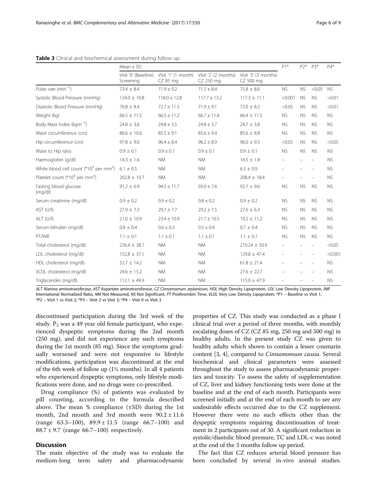|                                                                | Mean $\pm$ SD                     |                                   |                                   | $P1*$                             | $P2*$                    | $P3*$     | $P4*$                    |           |
|----------------------------------------------------------------|-----------------------------------|-----------------------------------|-----------------------------------|-----------------------------------|--------------------------|-----------|--------------------------|-----------|
|                                                                | Visit '0' (Baseline)<br>Screening | Visit '1' (1 month)<br>$CZ$ 85 mg | Visit '2' (2 months)<br>CZ 250 mg | Visit '3' (3 months)<br>CZ 500 mg |                          |           |                          |           |
| Pulse rate $(min^{-1})$                                        | $73.4 \pm 8.4$                    | $71.9 \pm 9.2$                    | $71.5 \pm 8.4$                    | $75.8 \pm 8.6$                    | <b>NS</b>                | <b>NS</b> | < 0.05                   | <b>NS</b> |
| Systolic Blood Pressure (mmHg)                                 | $124.0 \pm 10.8$                  | $118.0 \pm 12.8$                  | $117.7 \pm 13.2$                  | $117.3 \pm 11.1$                  | < 0.001                  | <b>NS</b> | <b>NS</b>                | < 0.01    |
| Diastolic Blood Pressure (mmHg)                                | $76.8 \pm 8.4$                    | $72.7 \pm 11.5$                   | $71.9 \pm 9.1$                    | $72.0 \pm 8.2$                    | < 0.05                   | <b>NS</b> | <b>NS</b>                | < 0.01    |
| Weight (kg)                                                    | $66.5 \pm 11.5$                   | $66.5 \pm 11.2$                   | $66.7 \pm 11.6$                   | $66.4 \pm 11.5$                   | <b>NS</b>                | <b>NS</b> | <b>NS</b>                | <b>NS</b> |
| Body Mass Index ( $kgm^{-2}$ )                                 | $24.8 \pm 3.6$                    | $24.8 \pm 3.5$                    | $24.8 \pm 3.7$                    | $24.7 \pm 3.8$                    | <b>NS</b>                | <b>NS</b> | <b>NS</b>                | <b>NS</b> |
| Waist circumference (cm)                                       | $86.6 \pm 10.6$                   | $85.5 \pm 9.1$                    | $85.6 \pm 9.4$                    | $85.6 \pm 8.8$                    | <b>NS</b>                | <b>NS</b> | <b>NS</b>                | <b>NS</b> |
| Hip circumference (cm)                                         | $97.8 \pm 9.0$                    | $96.4 \pm 8.4$                    | $96.2 \pm 8.9$                    | $96.0 \pm 9.3$                    | < 0.05                   | <b>NS</b> | <b>NS</b>                | < 0.05    |
| Waist to Hip ratio                                             | $0.9 \pm 0.1$                     | $0.9 \pm 0.1$                     | $0.9 \pm 0.1$                     | $0.9 \pm 0.1$                     | <b>NS</b>                | <b>NS</b> | <b>NS</b>                | <b>NS</b> |
| Haemoglobin (g/dl)                                             | $14.3 \pm 1.6$                    | <b>NM</b>                         | <b>NM</b>                         | $14.5 \pm 1.8$                    | $\equiv$                 |           | $\overline{\phantom{m}}$ | <b>NS</b> |
| White blood cell count (*10 <sup>9</sup> per mm <sup>3</sup> ) | $6.1 \pm 0.5$                     | <b>NM</b>                         | <b>NM</b>                         | $6.3 \pm 0.9$                     |                          |           | $\overline{\phantom{m}}$ | <b>NS</b> |
| Platelet count ( $*10^9$ per mm <sup>3</sup> )                 | $202.8 \pm 10.7$                  | <b>NM</b>                         | <b>NM</b>                         | $208.4 \pm 18.4$                  | $\overline{\phantom{0}}$ |           | $\equiv$                 | <b>NS</b> |
| Fasting blood glucose<br>(mq/d)                                | $91.2 \pm 6.9$                    | $94.5 \pm 11.7$                   | $93.0 \pm 7.6$                    | $92.7 \pm 9.6$                    | <b>NS</b>                | <b>NS</b> | <b>NS</b>                | <b>NS</b> |
| Serum creatinine (mg/dl)                                       | $0.9 \pm 0.2$                     | $0.9 \pm 0.2$                     | $0.8 \pm 0.2$                     | $0.9 \pm 0.2$                     | <b>NS</b>                | <b>NS</b> | <b>NS</b>                | <b>NS</b> |
| AST (U/I)                                                      | $27.9 \pm 7.3$                    | $29.7 \pm 7.7$                    | $29.2 \pm 7.5$                    | $27.6 \pm 6.3$                    | <b>NS</b>                | <b>NS</b> | <b>NS</b>                | <b>NS</b> |
| ALT (U/I)                                                      | $21.0 \pm 10.9$                   | $23.4 \pm 10.9$                   | $21.7 \pm 10.5$                   | $19.2 \pm 11.2$                   | <b>NS</b>                | <b>NS</b> | <b>NS</b>                | <b>NS</b> |
| Serum bilirubin (mg/dl)                                        | $0.8 \pm 0.4$                     | $0.6 \pm 0.3$                     | $0.5 \pm 0.4$                     | $0.7 \pm 0.4$                     | <b>NS</b>                | <b>NS</b> | <b>NS</b>                | <b>NS</b> |
| PT/INR                                                         | $1.1 \pm 0.1$                     | $1.1 \pm 0.1$                     | $1.1 \pm 0.1$                     | $1.1 \pm 0.1$                     | <b>NS</b>                | <b>NS</b> | <b>NS</b>                | <b>NS</b> |
| Total cholesterol (mg/dl)                                      | $226.4 \pm 38.7$                  | <b>NM</b>                         | <b>NM</b>                         | $210.24 \pm 50.9$                 | $\overline{\phantom{0}}$ |           | $\overline{\phantom{m}}$ | < 0.05    |
| LDL cholesterol (mg/dl)                                        | $152.8 \pm 37.1$                  | <b>NM</b>                         | <b>NM</b>                         | $129.8 \pm 47.4$                  | $\overline{\phantom{0}}$ |           | $\overline{\phantom{a}}$ | < 0.001   |
| HDL cholesterol (mg/dl)                                        | $52.7 \pm 14.2$                   | <b>NM</b>                         | <b>NM</b>                         | $61.8 \pm 21.4$                   |                          |           |                          | <b>NS</b> |
| VLDL cholesterol (mg/dl)                                       | $24.6 \pm 15.2$                   | <b>NM</b>                         | <b>NM</b>                         | $27.6 \pm 22.7$                   | $\overline{\phantom{0}}$ |           | $\overline{\phantom{a}}$ | <b>NS</b> |
| Triglycerides (mg/dl)                                          | $112.1 \pm 49.9$                  | <b>NM</b>                         | <b>NM</b>                         | $115.0 \pm 47.9$                  |                          |           |                          | <b>NS</b> |

<span id="page-5-0"></span>Table 3 Clinical and biochemical assessment during follow up

ALT Alanine aminotransferase, AST Aspartate aminotransferase, CZ Cinnamomum zeylanicum, HDL High Density Lipoprotein, LDL Low Density Lipoprotein, INR International Normalized Ratio, NM Not Measured, NS Not Significant, PT Prothrombin Time, VLDL Very Low Density Lipoprotein; \*P1 - Baseline vs Visit 1; \*P2 – Visit 1 vs Visit 2; \*P3 – Visit 2 vs Visit 3; \*P4 – Visit 0 vs Visit 3

discontinued participation during the 3rd week of the study.  $P_2$  was a 49 year old female participant, who experienced dyspeptic symptoms during the 2nd month (250 mg), and did not experience any such symptoms during the 1st month (85 mg). Since the symptoms gradually worsened and were not responsive to lifestyle modifications, participation was discontinued at the end of the 6th week of follow up  $(1\frac{1}{2})$  months). In all 4 patients who experienced dyspeptic symptoms, only lifestyle modifications were done, and no drugs were co-prescribed.

Drug compliance (%) of patients was evaluated by pill counting, according to the formula described above. The mean % compliance  $(\pm SD)$  during the 1st month, 2nd month and 3rd month were  $90.2 \pm 11.6$  $(range-63.3-100), 89.9 \pm 11.5 (range-66.7-100) and$ 88.7 ± 9.7 (range 66.7–100) respectively.

# **Discussion**

The main objective of the study was to evaluate the medium-long term safety and pharmacodynamic

properties of CZ. This study was conducted as a phase I clinical trial over a period of three months, with monthly escalating doses of CZ (CZ 85 mg, 250 mg and 500 mg) in healthy adults. In the present study CZ was given to healthy adults which shown to contain a lesser coumarin content [[3](#page-8-0), [4\]](#page-8-0), compared to Cinnamomum cassia. Several biochemical and clinical parameters were assessed throughout the study to assess pharmacodynamic properties and toxicity. To assess the safety of supplementation of CZ, liver and kidney functioning tests were done at the baseline and at the end of each month. Participants were screened initially and at the end of each month to see any undesirable effects occurred due to the CZ supplement. However there were no such effects other than the dyspeptic symptoms requiring discontinuation of treatment in 2 participants out of 30. A significant reduction in systolic/diastolic blood pressure, TC and LDL-c was noted at the end of the 3 months follow up period.

The fact that CZ reduces arterial blood pressure has been concluded by several in-vivo animal studies.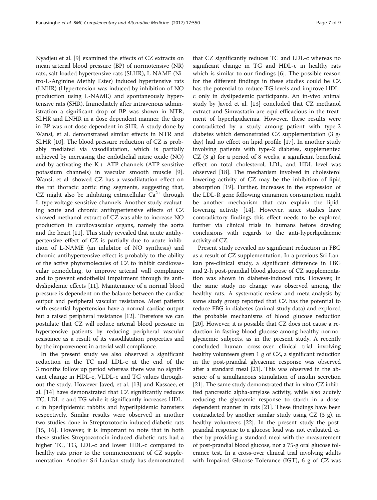Nyadjeu et al. [\[9](#page-8-0)] examined the effects of CZ extracts on mean arterial blood pressure (BP) of normotensive (NR) rats, salt-loaded hypertensive rats (SLHR), L-NAME (Nitro-L-Arginine Methly Ester) induced hypertensive rats (LNHR) (Hypertension was induced by inhibition of NO production using L-NAME) and spontaneously hypertensive rats (SHR). Immediately after intravenous administration a significant drop of BP was shown in NTR, SLHR and LNHR in a dose dependent manner, the drop in BP was not dose dependent in SHR. A study done by Wansi, et al. demonstrated similar effects in NTR and SLHR [\[10\]](#page-8-0). The blood pressure reduction of CZ is probably mediated via vasodilatation, which is partially achieved by increasing the endothelial nitric oxide (NO) and by activating the  $K + -ATP$  channels (ATP sensitive potassium channels) in vascular smooth muscle [\[9](#page-8-0)]. Wansi, et al. showed CZ has a vasodilatation effect on the rat thoracic aortic ring segments, suggesting that, CZ might also be inhibiting extracellular  $Ca^{2+}$  through L-type voltage-sensitive channels. Another study evaluating acute and chronic antihypertensive effects of CZ showed methanol extract of CZ was able to increase NO production in cardiovascular organs, namely the aorta and the heart [[11](#page-8-0)]. This study revealed that acute antihypertensive effect of CZ is partially due to acute inhibition of L-NAME (an inhibitor of NO synthesis) and chronic antihypertensive effect is probably to the ability of the active phytomolecules of CZ to inhibit cardiovascular remodeling, to improve arterial wall compliance and to prevent endothelial impairment through its antidyslipidemic effects [\[11\]](#page-8-0). Maintenance of a normal blood pressure is dependent on the balance between the cardiac output and peripheral vascular resistance. Most patients with essential hypertension have a normal cardiac output but a raised peripheral resistance [[12](#page-8-0)]. Therefore we can postulate that CZ will reduce arterial blood pressure in hypertensive patients by reducing peripheral vascular resistance as a result of its vasodilatation properties and by the improvement in arterial wall compliance.

In the present study we also observed a significant reduction in the TC and LDL-c at the end of the 3 months follow up period whereas there was no significant change in HDL-c, VLDL-c and TG values throughout the study. However Javed, et al. [[13\]](#page-8-0) and Kassaee, et al. [[14](#page-8-0)] have demonstrated that CZ significantly reduces TC, LDL-c and TG while it significantly increases HDLc in hperlipidemic rabbits and hyperlipidemic hamsters respectively. Similar results were observed in another two studies done in Streptozotocin induced diabetic rats [[15, 16\]](#page-8-0). However, it is important to note that in both these studies Streptozotocin induced diabetic rats had a higher TC, TG, LDL-c and lower HDL-c compared to healthy rats prior to the commencement of CZ supplementation. Another Sri Lankan study has demonstrated

that CZ significantly reduces TC and LDL-c whereas no significant change in TG and HDL-c in healthy rats which is similar to our findings [\[6](#page-8-0)]. The possible reason for the different findings in these studies could be CZ has the potential to reduce TG levels and improve HDLc only in dyslipedemic participants. An in-vivo animal study by Javed et al. [[13\]](#page-8-0) concluded that CZ methanol extract and Simvastatin are equi-efficacious in the treatment of hyperlipidaemia. However, these results were contradicted by a study among patient with type-2 diabetes which demonstrated CZ supplementation (3 g/ day) had no effect on lipid profile [\[17](#page-8-0)]. In another study involving patients with type-2 diabetes, supplemented CZ (3 g) for a period of 8 weeks, a significant beneficial effect on total cholesterol, LDL, and HDL level was observed [\[18](#page-8-0)]. The mechanism involved in cholesterol lowering activity of CZ may be the inhibition of lipid absorption [[19\]](#page-8-0). Further, increases in the expression of the LDL-R gene following cinnamon consumption might be another mechanism that can explain the lipidlowering activity [[14](#page-8-0)]. However, since studies have contradictory findings this effect needs to be explored further via clinical trials in humans before drawing conclusions with regards to the anti-hyperlipidaemic activity of CZ.

Present study revealed no significant reduction in FBG as a result of CZ supplementation. In a previous Sri Lankan pre-clinical study, a significant difference in FBG and 2-h post-prandial blood glucose of CZ supplementation was shown in diabetes-induced rats. However, in the same study no change was observed among the healthy rats. A systematic-review and meta-analysis by same study group reported that CZ has the potential to reduce FBG in diabetes (animal study data) and explored the probable mechanisms of blood glucose reduction [[20\]](#page-8-0). However, it is possible that CZ does not cause a reduction in fasting blood glucose among healthy normoglycaemic subjects, as in the present study. A recently concluded human cross-over clinical trial involving healthy volunteers given 1 g of CZ, a significant reduction in the post-prandial glycaemic response was observed after a standard meal [\[21\]](#page-8-0). This was observed in the absence of a simultaneous stimulation of insulin secretion [[21](#page-8-0)]. The same study demonstrated that in-vitro CZ inhibited pancreatic alpha-amylase activity, while also acutely reducing the glycaemic response to starch in a dosedependent manner in rats [\[21\]](#page-8-0). These findings have been contradicted by another similar study using CZ (3 g), in healthy volunteers [\[22\]](#page-8-0). In the present study the postprandial response to a glucose load was not evaluated, either by providing a standard meal with the measurement of post-prandial blood glucose, nor a 75-g oral glucose tolerance test. In a cross-over clinical trial involving adults with Impaired Glucose Tolerance (IGT), 6 g of CZ was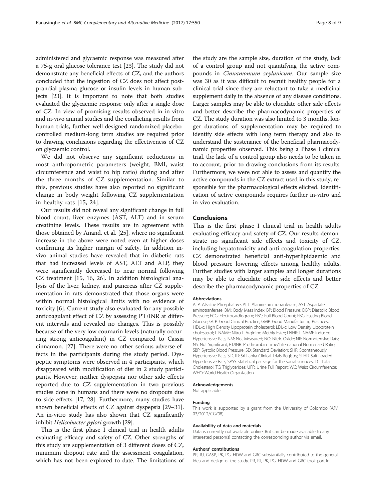administered and glycaemic response was measured after a 75-g oral glucose tolerance test [\[23](#page-8-0)]. The study did not demonstrate any beneficial effects of CZ, and the authors concluded that the ingestion of CZ does not affect postprandial plasma glucose or insulin levels in human subjects [\[23\]](#page-8-0). It is important to note that both studies evaluated the glycaemic response only after a single dose of CZ. In view of promising results observed in in-vitro and in-vivo animal studies and the conflicting results from human trials, further well-designed randomized placebocontrolled medium-long term studies are required prior to drawing conclusions regarding the effectiveness of CZ on glycaemic control.

We did not observe any significant reductions in most anthropometric parameters (weight, BMI, waist circumference and waist to hip ratio) during and after the three months of CZ supplementation. Similar to this, previous studies have also reported no significant change in body weight following CZ supplementation in healthy rats [[15, 24\]](#page-8-0).

Our results did not reveal any significant change in full blood count, liver enzymes (AST, ALT) and in serum creatinine levels. These results are in agreement with those obtained by Anand, et al. [[25\]](#page-8-0), where no significant increase in the above were noted even at higher doses confirming its higher margin of safety. In addition invivo animal studies have revealed that in diabetic rats that had increased levels of AST, ALT and ALP, they were significantly decreased to near normal following CZ treatment [[15, 16, 26\]](#page-8-0). In addition histological analysis of the liver, kidney, and pancreas after CZ supplementation in rats demonstrated that those organs were within normal histological limits with no evidence of toxicity [[6\]](#page-8-0). Current study also evaluated for any possible anticoagulant effect of CZ by assessing PT/INR at different intervals and revealed no changes. This is possibly because of the very low coumarin levels (naturally occurring strong anticoagulant) in CZ compared to Cassia cinnamon. [\[27](#page-8-0)]. There were no other serious adverse effects in the participants during the study period. Dyspeptic symptoms were observed in 4 participants, which disappeared with modification of diet in 2 study participants. However, neither dyspepsia nor other side effects reported due to CZ supplementation in two previous studies done in humans and there were no dropouts due to side effects [[17](#page-8-0), [28](#page-8-0)]. Furthermore, many studies have shown beneficial effects of CZ against dyspepsia [\[29](#page-8-0)–[31](#page-8-0)]. An in-vitro study has also shown that CZ significantly inhibit Helicobacter pylori growth [\[29\]](#page-8-0).

This is the first phase I clinical trial in health adults evaluating efficacy and safety of CZ. Other strengths of this study are supplementation of 3 different doses of CZ, minimum dropout rate and the assessment coagulation, which has not been explored to date. The limitations of

the study are the sample size, duration of the study, lack of a control group and not quantifying the active compounds in Cinnamomum zeylanicum. Our sample size was 30 as it was difficult to recruit healthy people for a clinical trial since they are reluctant to take a medicinal supplement daily in the absence of any disease conditions. Larger samples may be able to elucidate other side effects and better describe the pharmacodynamic properties of CZ. The study duration was also limited to 3 months, longer durations of supplementation may be required to identify side effects with long term therapy and also to understand the sustenance of the beneficial pharmacodynamic properties observed. This being a Phase I clinical trial, the lack of a control group also needs to be taken in to account, prior to drawing conclusions from its results. Furthermore, we were not able to assess and quantify the active compounds in the CZ extract used in this study, responsible for the pharmacological effects elicited. Identification of active compounds requires further in-vitro and in-vivo evaluation.

# Conclusions

This is the first phase I clinical trial in health adults evaluating efficacy and safety of CZ. Our results demonstrate no significant side effects and toxicity of CZ, including hepatotoxicity and anti-coagulation properties. CZ demonstrated beneficial anti-hyperlipidaemic and blood pressure lowering effects among healthy adults. Further studies with larger samples and longer durations may be able to elucidate other side effects and better describe the pharmacodynamic properties of CZ.

#### **Abbreviations**

ALP: Alkaline Phosphatase; ALT: Alanine aminotranferase; AST: Aspartate aminotranferase; BMI: Body Mass Index; BP: Blood Pressure; DBP: Diastolic Blood Pressure; ECG: Electrocardiogram; FBC: Full Blood Count; FBG: Fasting Blood Glucose; GCP: Good Clinical Practice; GMP: Good Manufacturing Practices; HDL-c: High Density Lipoprotein cholesterol; LDL-c: Low Density Lipoprotein cholesterol; L-NAME: Nitro-L-Arginine Methly Ester; LNHR: L-NAME induced Hypertensive Rats; NM: Not Measured; NO: Nitric Oxide; NR: Normotensive Rats; NS: Not Significant; PT/INR: Prothrombin Time/International Normalized Ratio; SBP: Systolic Blood Pressure; SD: Standard Deviation; SHR: Spontaneously Hypertensive Rats; SLCTR: Sri Lanka Clinical Trials Registry; SLHR: Salt-Loaded Hypertensive Rats; SPSS: statistical package for the social sciences; TC: Total Cholesterol; TG: Triglycerides; UFR: Urine Full Report; WC: Waist Circumference; WHO: World Health Organization

#### Acknowledgements

Not applicable

#### Funding

This work is supported by a grant from the University of Colombo (AP/ 03/2012/CG/08).

#### Availability of data and materials

Data is currently not available online. But can be made available to any interested person(s) contacting the corresponding author via email.

#### Authors' contributions

PR, RJ, GASP, PK, PG, HDW and GRC substantially contributed to the general idea and design of the study. PR, RJ, PK, PG, HDW and GRC took part in